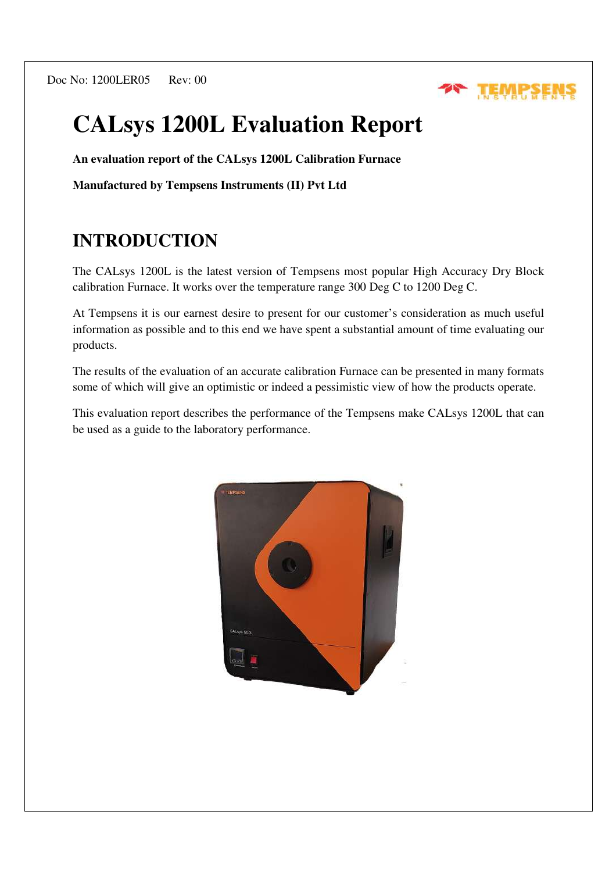Doc No: 1200LER05 Rev: 00



# **CALsys 1200L Evaluation Report**

**An evaluation report of the CALsys 1200L Calibration Furnace** 

**Manufactured by Tempsens Instruments (II) Pvt Ltd** 

# **INTRODUCTION**

The CALsys 1200L is the latest version of Tempsens most popular High Accuracy Dry Block calibration Furnace. It works over the temperature range 300 Deg C to 1200 Deg C.

At Tempsens it is our earnest desire to present for our customer's consideration as much useful information as possible and to this end we have spent a substantial amount of time evaluating our products.

The results of the evaluation of an accurate calibration Furnace can be presented in many formats some of which will give an optimistic or indeed a pessimistic view of how the products operate.

This evaluation report describes the performance of the Tempsens make CALsys 1200L that can be used as a guide to the laboratory performance.

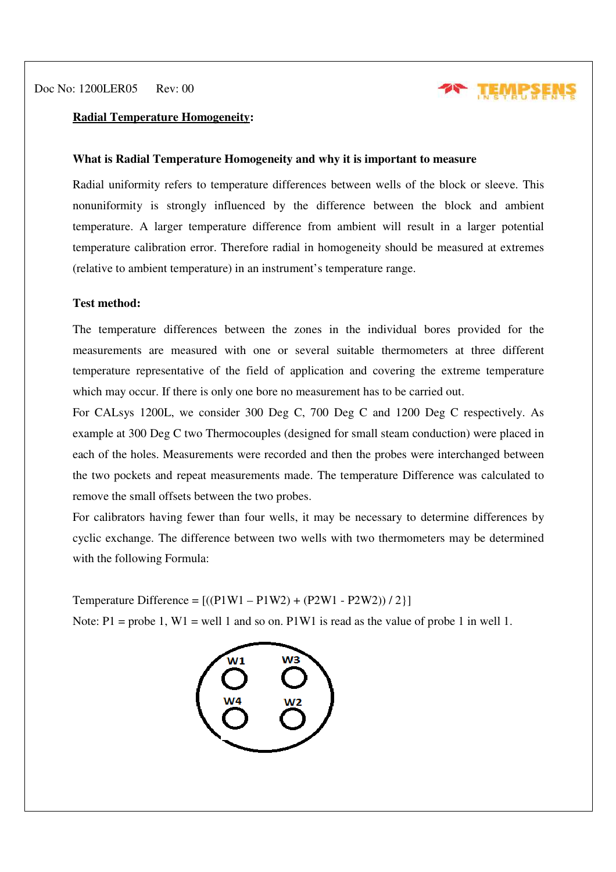

#### **Radial Temperature Homogeneity:**

#### **What is Radial Temperature Homogeneity and why it is important to measure**

Radial uniformity refers to temperature differences between wells of the block or sleeve. This nonuniformity is strongly influenced by the difference between the block and ambient temperature. A larger temperature difference from ambient will result in a larger potential temperature calibration error. Therefore radial in homogeneity should be measured at extremes (relative to ambient temperature) in an instrument's temperature range.

#### **Test method:**

The temperature differences between the zones in the individual bores provided for the measurements are measured with one or several suitable thermometers at three different temperature representative of the field of application and covering the extreme temperature which may occur. If there is only one bore no measurement has to be carried out.

For CALsys 1200L, we consider 300 Deg C, 700 Deg C and 1200 Deg C respectively. As example at 300 Deg C two Thermocouples (designed for small steam conduction) were placed in each of the holes. Measurements were recorded and then the probes were interchanged between the two pockets and repeat measurements made. The temperature Difference was calculated to remove the small offsets between the two probes.

For calibrators having fewer than four wells, it may be necessary to determine differences by cyclic exchange. The difference between two wells with two thermometers may be determined with the following Formula:

Temperature Difference =  $[(P1W1 - P1W2) + (P2W1 - P2W2))/2]$ 

Note:  $P1$  = probe 1, W1 = well 1 and so on. P1W1 is read as the value of probe 1 in well 1.

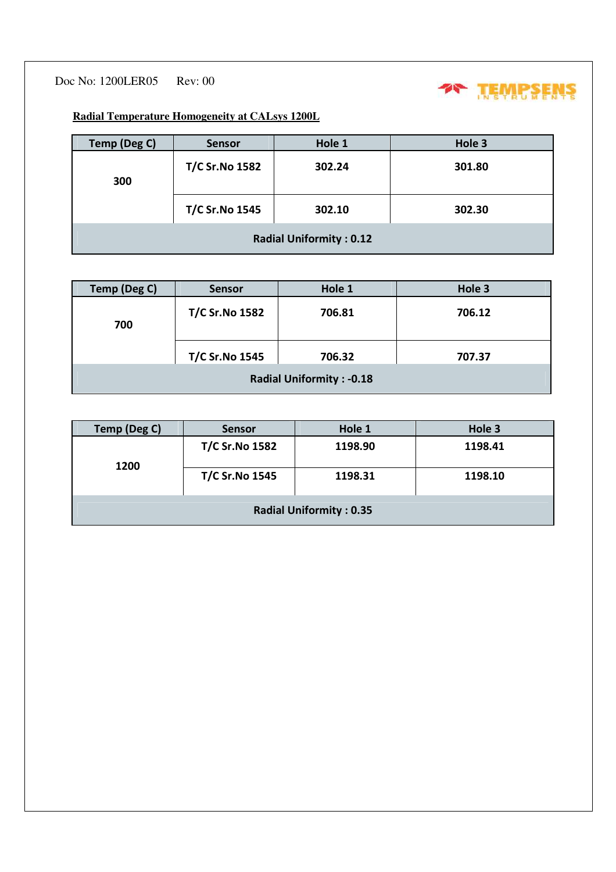Doc No: 1200LER05 Rev: 00



**Radial Temperature Homogeneity at CALsys 1200L**

| Temp (Deg C)                   | <b>Sensor</b>         | Hole 1 | Hole 3 |  |
|--------------------------------|-----------------------|--------|--------|--|
| 300                            | <b>T/C Sr.No 1582</b> | 302.24 | 301.80 |  |
|                                | <b>T/C Sr.No 1545</b> | 302.10 | 302.30 |  |
| <b>Radial Uniformity: 0.12</b> |                       |        |        |  |

| Temp (Deg C)                    | <b>Sensor</b>                   | Hole 1 | Hole 3 |  |
|---------------------------------|---------------------------------|--------|--------|--|
| 700                             | <b>T/C Sr.No 1582</b><br>706.81 |        | 706.12 |  |
|                                 | <b>T/C Sr.No 1545</b>           | 706.32 | 707.37 |  |
| <b>Radial Uniformity: -0.18</b> |                                 |        |        |  |

| Temp (Deg C)                   | <b>Sensor</b>         | Hole 1  | Hole 3  |  |
|--------------------------------|-----------------------|---------|---------|--|
| 1200                           | <b>T/C Sr.No 1582</b> | 1198.90 | 1198.41 |  |
|                                | <b>T/C Sr.No 1545</b> | 1198.31 | 1198.10 |  |
| <b>Radial Uniformity: 0.35</b> |                       |         |         |  |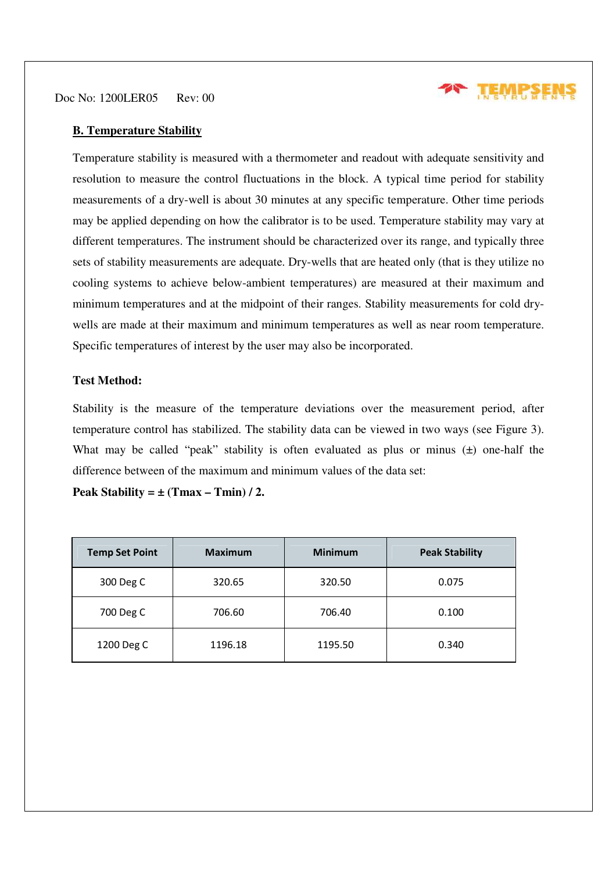Doc No: 1200LER05 Rev: 00



#### **B. Temperature Stability**

Temperature stability is measured with a thermometer and readout with adequate sensitivity and resolution to measure the control fluctuations in the block. A typical time period for stability measurements of a dry-well is about 30 minutes at any specific temperature. Other time periods may be applied depending on how the calibrator is to be used. Temperature stability may vary at different temperatures. The instrument should be characterized over its range, and typically three sets of stability measurements are adequate. Dry-wells that are heated only (that is they utilize no cooling systems to achieve below-ambient temperatures) are measured at their maximum and minimum temperatures and at the midpoint of their ranges. Stability measurements for cold drywells are made at their maximum and minimum temperatures as well as near room temperature. Specific temperatures of interest by the user may also be incorporated.

## **Test Method:**

Stability is the measure of the temperature deviations over the measurement period, after temperature control has stabilized. The stability data can be viewed in two ways (see Figure 3). What may be called "peak" stability is often evaluated as plus or minus  $(\pm)$  one-half the difference between of the maximum and minimum values of the data set:

Peak Stability =  $\pm$  (Tmax – Tmin) / 2.

| <b>Temp Set Point</b> | <b>Maximum</b> | <b>Minimum</b> | <b>Peak Stability</b> |
|-----------------------|----------------|----------------|-----------------------|
| 300 Deg C             | 320.65         | 320.50         | 0.075                 |
| 700 Deg C             | 706.60         | 706.40         | 0.100                 |
| 1200 Deg C            | 1196.18        | 1195.50        | 0.340                 |